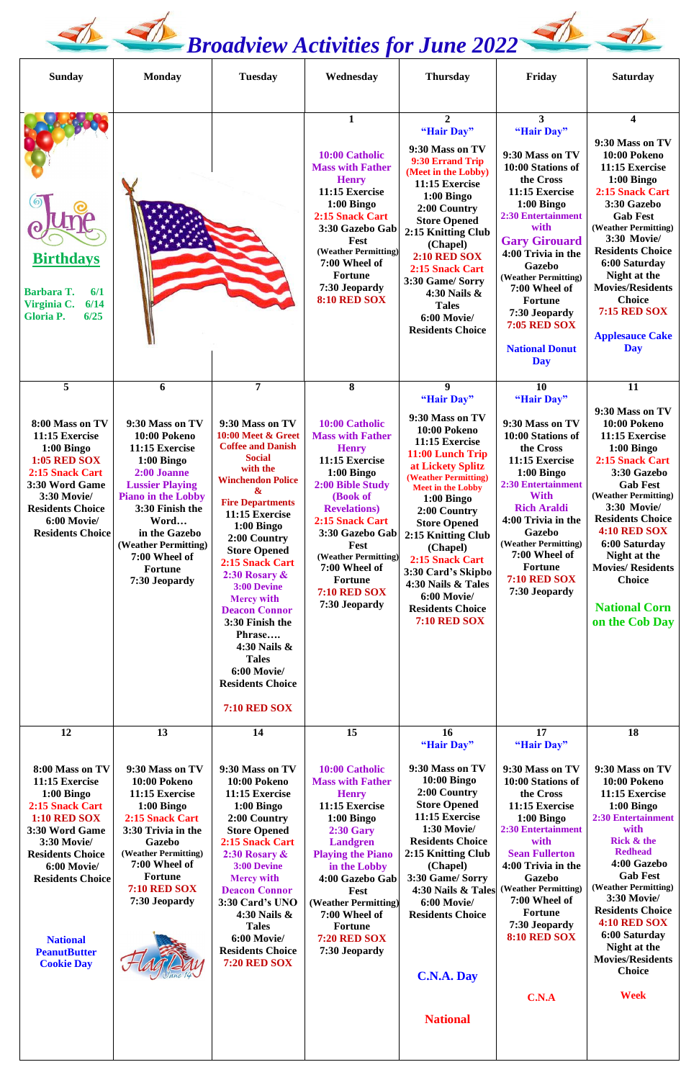## *<u><i>A* Broadview Activities for June 2022</u>

| <b>Sunday</b>                                                                                                                                                                                                 | <b>Monday</b>                                                                                                                                                                                                                                                        | <b>Tuesday</b>                                                                                                                                                                                                                                                                                                                                                                                                                                                                      | Wednesday                                                                                                                                                                                                                                                                                                 | <b>Thursday</b>                                                                                                                                                                                                                                                                                                                                                                            | Friday                                                                                                                                                                                                                                                                                                                                               | <b>Saturday</b>                                                                                                                                                                                                                                                                                                                              |
|---------------------------------------------------------------------------------------------------------------------------------------------------------------------------------------------------------------|----------------------------------------------------------------------------------------------------------------------------------------------------------------------------------------------------------------------------------------------------------------------|-------------------------------------------------------------------------------------------------------------------------------------------------------------------------------------------------------------------------------------------------------------------------------------------------------------------------------------------------------------------------------------------------------------------------------------------------------------------------------------|-----------------------------------------------------------------------------------------------------------------------------------------------------------------------------------------------------------------------------------------------------------------------------------------------------------|--------------------------------------------------------------------------------------------------------------------------------------------------------------------------------------------------------------------------------------------------------------------------------------------------------------------------------------------------------------------------------------------|------------------------------------------------------------------------------------------------------------------------------------------------------------------------------------------------------------------------------------------------------------------------------------------------------------------------------------------------------|----------------------------------------------------------------------------------------------------------------------------------------------------------------------------------------------------------------------------------------------------------------------------------------------------------------------------------------------|
| <b>Birthdays</b><br><b>Barbara T.</b><br>6/1<br>6/14<br>Virginia C.<br>6/25<br><b>Gloria P.</b>                                                                                                               |                                                                                                                                                                                                                                                                      |                                                                                                                                                                                                                                                                                                                                                                                                                                                                                     | 1<br>10:00 Catholic<br><b>Mass with Father</b><br><b>Henry</b><br>11:15 Exercise<br>$1:00$ Bingo<br>2:15 Snack Cart<br>3:30 Gazebo Gab<br>Fest<br>(Weather Permitting)<br>7:00 Wheel of<br><b>Fortune</b><br>7:30 Jeopardy<br>8:10 RED SOX                                                                | $\overline{2}$<br>"Hair Day"<br>9:30 Mass on TV<br>9:30 Errand Trip<br>(Meet in the Lobby)<br>11:15 Exercise<br>$1:00$ Bingo<br>2:00 Country<br><b>Store Opened</b><br>2:15 Knitting Club<br>(Chapel)<br><b>2:10 RED SOX</b><br>2:15 Snack Cart<br>3:30 Game/ Sorry<br>4:30 Nails &<br><b>Tales</b><br>6:00 Movie/<br><b>Residents Choice</b>                                              | 3<br>"Hair Day"<br>9:30 Mass on TV<br>10:00 Stations of<br>the Cross<br>11:15 Exercise<br>$1:00$ Bingo<br><b>2:30 Entertainment</b><br>with<br><b>Gary Girouard</b><br>4:00 Trivia in the<br><b>Gazebo</b><br>(Weather Permitting)<br>7:00 Wheel of<br><b>Fortune</b><br>7:30 Jeopardy<br><b>7:05 RED SOX</b><br><b>National Donut</b><br><b>Day</b> | 4<br>9:30 Mass on TV<br>10:00 Pokeno<br>11:15 Exercise<br>$1:00$ Bingo<br>2:15 Snack Cart<br>3:30 Gazebo<br><b>Gab Fest</b><br>(Weather Permitting)<br>3:30 Movie/<br><b>Residents Choice</b><br>6:00 Saturday<br>Night at the<br><b>Movies/Residents</b><br><b>Choice</b><br><b>7:15 RED SOX</b><br><b>Applesauce Cake</b><br><b>Day</b>    |
| 5<br>8:00 Mass on TV<br>11:15 Exercise<br>$1:00$ Bingo<br><b>1:05 RED SOX</b><br>2:15 Snack Cart<br>3:30 Word Game<br><b>3:30 Movie/</b><br><b>Residents Choice</b><br>6:00 Movie/<br><b>Residents Choice</b> | 6<br>9:30 Mass on TV<br>10:00 Pokeno<br>11:15 Exercise<br>$1:00$ Bingo<br>2:00 Joanne<br><b>Lussier Playing</b><br><b>Piano in the Lobby</b><br>3:30 Finish the<br>Word<br>in the Gazebo<br>(Weather Permitting)<br>7:00 Wheel of<br><b>Fortune</b><br>7:30 Jeopardy | $\overline{7}$<br>9:30 Mass on TV<br>10:00 Meet & Greet<br><b>Coffee and Danish</b><br><b>Social</b><br>with the<br><b>Winchendon Police</b><br>&<br><b>Fire Departments</b><br>11:15 Exercise<br>$1:00$ Bingo<br>2:00 Country<br><b>Store Opened</b><br>2:15 Snack Cart<br>2:30 Rosary &<br>3:00 Devine<br><b>Mercy with</b><br><b>Deacon Connor</b><br>3:30 Finish the<br>Phrase<br>4:30 Nails &<br><b>Tales</b><br>6:00 Movie/<br><b>Residents Choice</b><br><b>7:10 RED SOX</b> | 8<br>10:00 Catholic<br><b>Mass with Father</b><br><b>Henry</b><br>11:15 Exercise<br>$1:00$ Bingo<br>2:00 Bible Study<br>(Book of<br><b>Revelations</b> )<br>2:15 Snack Cart<br>3:30 Gazebo Gab<br>Fest<br>(Weather Permitting)<br>7:00 Wheel of<br><b>Fortune</b><br><b>7:10 RED SOX</b><br>7:30 Jeopardy | 9<br>"Hair Day"<br>9:30 Mass on TV<br>10:00 Pokeno<br>11:15 Exercise<br>11:00 Lunch Trip<br>at Lickety Splitz<br>(Weather Permitting)<br><b>Meet in the Lobby</b><br>$1:00$ Bingo<br>2:00 Country<br><b>Store Opened</b><br>2:15 Knitting Club<br>(Chapel)<br>2:15 Snack Cart<br>3:30 Card's Skipbo<br>4:30 Nails & Tales<br>6:00 Movie/<br><b>Residents Choice</b><br><b>7:10 RED SOX</b> | 10<br>"Hair Day"<br>9:30 Mass on TV<br>10:00 Stations of<br>the Cross<br>11:15 Exercise<br>$1:00$ Bingo<br><b>2:30 Entertainment</b><br><b>With</b><br><b>Rich Araldi</b><br>4:00 Trivia in the<br><b>Gazebo</b><br>(Weather Permitting)<br>7:00 Wheel of<br><b>Fortune</b><br><b>7:10 RED SOX</b><br>7:30 Jeopardy                                  | 11<br>9:30 Mass on TV<br>10:00 Pokeno<br>11:15 Exercise<br>$1:00$ Bingo<br>2:15 Snack Cart<br>3:30 Gazebo<br><b>Gab Fest</b><br>(Weather Permitting)<br>3:30 Movie/<br><b>Residents Choice</b><br><b>4:10 RED SOX</b><br>6:00 Saturday<br>Night at the<br><b>Movies/Residents</b><br><b>Choice</b><br><b>National Corn</b><br>on the Cob Day |
| 12<br>8:00 Mass on TV<br>11:15 Exercise                                                                                                                                                                       | 13<br>9:30 Mass on TV<br>10:00 Pokeno                                                                                                                                                                                                                                | 14<br>9:30 Mass on TV<br>10:00 Pokeno                                                                                                                                                                                                                                                                                                                                                                                                                                               | 15<br>10:00 Catholic<br><b>Mass with Father</b>                                                                                                                                                                                                                                                           | 16<br>"Hair Day"<br>9:30 Mass on TV<br><b>10:00 Bingo</b><br>$2.00 \text{ C}$                                                                                                                                                                                                                                                                                                              | 17<br>"Hair Day"<br>9:30 Mass on TV<br>10:00 Stations of                                                                                                                                                                                                                                                                                             | 18<br>9:30 Mass on TV<br>10:00 Pokeno                                                                                                                                                                                                                                                                                                        |

**1:00 Bingo 2:15 Snack Cart 1:10 RED SOX 3:30 Word Game 3:30 Movie/ Residents Choice 6:00 Movie/ Residents Choice**

> **National PeanutButter Cookie Day**

**11:15 Exercise 1:00 Bingo 2:15 Snack Cart 3:30 Trivia in the Gazebo (Weather Permitting) 7:00 Wheel of Fortune 7:10 RED SOX 7:30 Jeopardy**



**11:15 Exercise 1:00 Bingo 2:00 Country Store Opened 2:15 Snack Cart 2:30 Rosary & 3:00 Devine Mercy with  Deacon Connor  3:30 Card's UNO 4:30 Nails & Tales 6:00 Movie/ Residents Choice 7:20 RED SOX** 

**Henry 11:15 Exercise 1:00 Bingo 2:30 Gary Landgren Playing the Piano in the Lobby 4:00 Gazebo Gab Fest (Weather Permitting) 7:00 Wheel of Fortune 7:20 RED SOX 7:30 Jeopardy 2:00 Country Store Opened 11:15 Exercise 1:30 Movie/ Residents Choice 2:15 Knitting Club (Chapel) 3:30 Game/ Sorry 4:30 Nails & Tales 6:00 Movie/ Residents Choice C.N.A. Day National**

**the Cross 11:15 Exercise 1:00 Bingo 2:30 Entertainment with Sean Fullerton 4:00 Trivia in the Gazebo (Weather Permitting) 7:00 Wheel of Fortune 7:30 Jeopardy 8:10 RED SOX C.N.A**

**11:15 Exercise 1:00 Bingo 2:30 Entertainment with Rick & the Redhead 4:00 Gazebo Gab Fest (Weather Permitting) 3:30 Movie/ Residents Choice 4:10 RED SOX 6:00 Saturday Night at the Movies/Residents Choice Week**